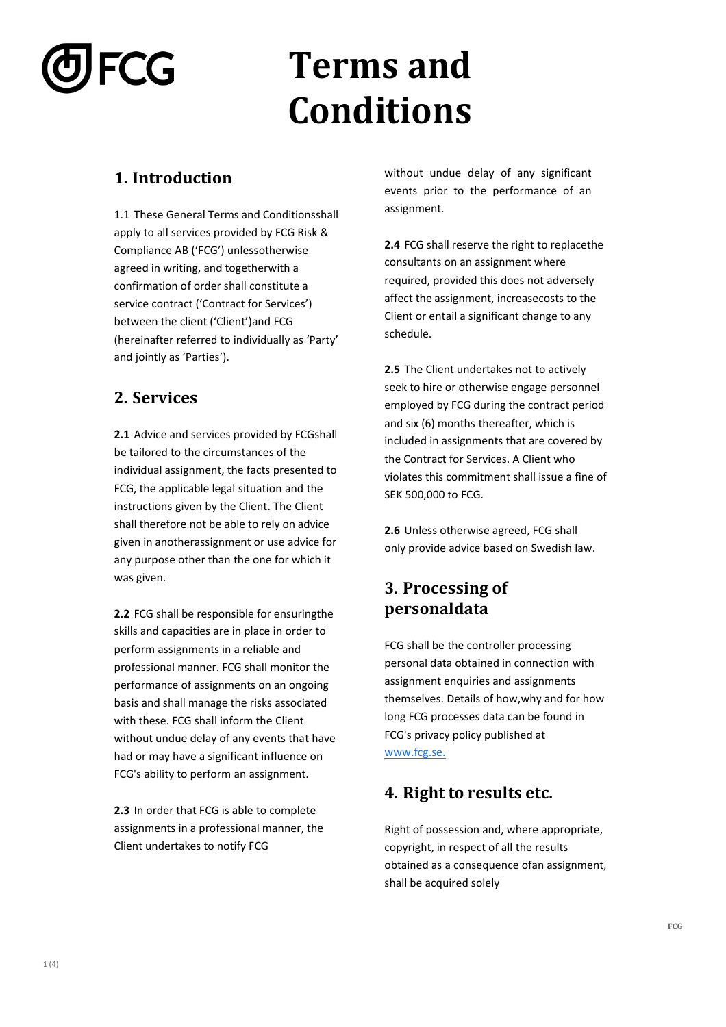# FCG

## **Terms and Conditions**

#### **1. Introduction**

1.1 These General Terms and Conditionsshall apply to all services provided by FCG Risk & Compliance AB ('FCG') unlessotherwise agreed in writing, and togetherwith a confirmation of order shall constitute a service contract ('Contract for Services') between the client ('Client')and FCG (hereinafter referred to individually as 'Party' and jointly as 'Parties').

#### **2. Services**

**2.1** Advice and services provided by FCGshall be tailored to the circumstances of the individual assignment, the facts presented to FCG, the applicable legal situation and the instructions given by the Client. The Client shall therefore not be able to rely on advice given in anotherassignment or use advice for any purpose other than the one for which it was given.

**2.2** FCG shall be responsible for ensuringthe skills and capacities are in place in order to perform assignments in a reliable and professional manner. FCG shall monitor the performance of assignments on an ongoing basis and shall manage the risks associated with these. FCG shall inform the Client without undue delay of any events that have had or may have a significant influence on FCG's ability to perform an assignment.

**2.3** In order that FCG is able to complete assignments in a professional manner, the Client undertakes to notify FCG

without undue delay of any significant events prior to the performance of an assignment.

**2.4** FCG shall reserve the right to replacethe consultants on an assignment where required, provided this does not adversely affect the assignment, increasecosts to the Client or entail a significant change to any schedule.

**2.5** The Client undertakes not to actively seek to hire or otherwise engage personnel employed by FCG during the contract period and six (6) months thereafter, which is included in assignments that are covered by the Contract for Services. A Client who violates this commitment shall issue a fine of SEK 500,000 to FCG.

**2.6** Unless otherwise agreed, FCG shall only provide advice based on Swedish law.

#### **3. Processing of personaldata**

FCG shall be the controller processing personal data obtained in connection with assignment enquiries and assignments themselves. Details of how,why and for how long FCG processes data can be found in FCG's privacy policy published at [www.fcg.se.](http://www.fcg.se/)

#### **4. Right to results etc.**

Right of possession and, where appropriate, copyright, in respect of all the results obtained as a consequence ofan assignment, shall be acquired solely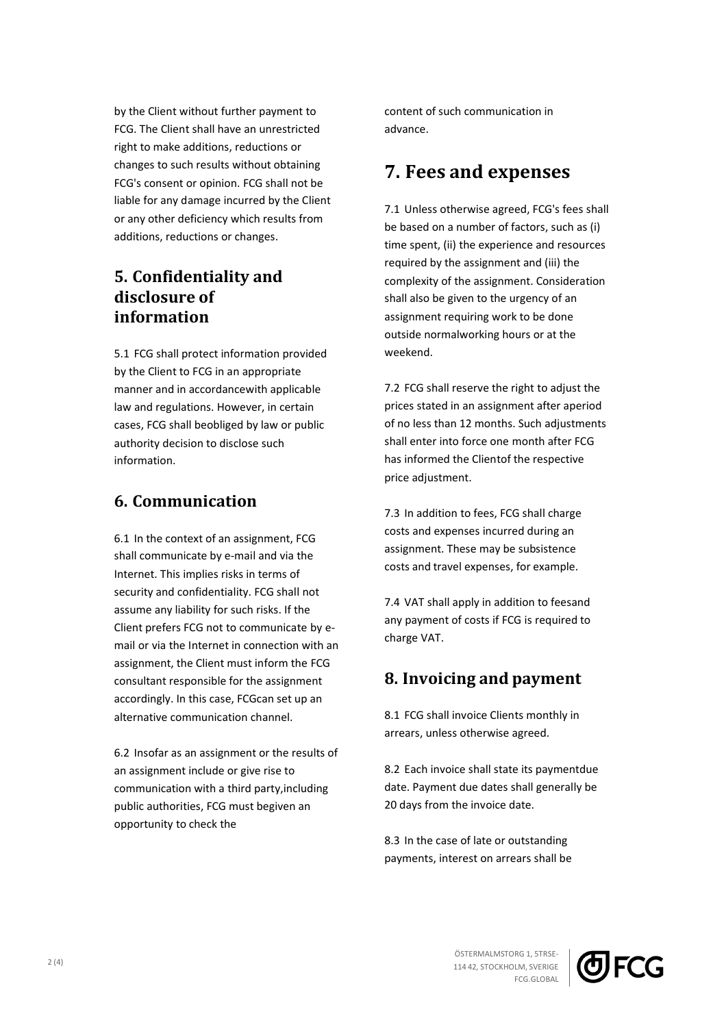by the Client without further payment to FCG. The Client shall have an unrestricted right to make additions, reductions or changes to such results without obtaining FCG's consent or opinion. FCG shall not be liable for any damage incurred by the Client or any other deficiency which results from additions, reductions or changes.

#### **5. Confidentiality and disclosure of information**

5.1 FCG shall protect information provided by the Client to FCG in an appropriate manner and in accordancewith applicable law and regulations. However, in certain cases, FCG shall beobliged by law or public authority decision to disclose such information.

#### **6. Communication**

6.1 In the context of an assignment, FCG shall communicate by e-mail and via the Internet. This implies risks in terms of security and confidentiality. FCG shall not assume any liability for such risks. If the Client prefers FCG not to communicate by email or via the Internet in connection with an assignment, the Client must inform the FCG consultant responsible for the assignment accordingly. In this case, FCGcan set up an alternative communication channel.

6.2 Insofar as an assignment or the results of an assignment include or give rise to communication with a third party,including public authorities, FCG must begiven an opportunity to check the

content of such communication in advance.

### **7. Fees and expenses**

7.1 Unless otherwise agreed, FCG's fees shall be based on a number of factors, such as (i) time spent, (ii) the experience and resources required by the assignment and (iii) the complexity of the assignment. Consideration shall also be given to the urgency of an assignment requiring work to be done outside normalworking hours or at the weekend.

7.2 FCG shall reserve the right to adjust the prices stated in an assignment after aperiod of no less than 12 months. Such adjustments shall enter into force one month after FCG has informed the Clientof the respective price adjustment.

7.3 In addition to fees, FCG shall charge costs and expenses incurred during an assignment. These may be subsistence costs and travel expenses, for example.

7.4 VAT shall apply in addition to feesand any payment of costs if FCG is required to charge VAT.

#### **8. Invoicing and payment**

8.1 FCG shall invoice Clients monthly in arrears, unless otherwise agreed.

8.2 Each invoice shall state its paymentdue date. Payment due dates shall generally be 20 days from the invoice date.

8.3 In the case of late or outstanding payments, interest on arrears shall be

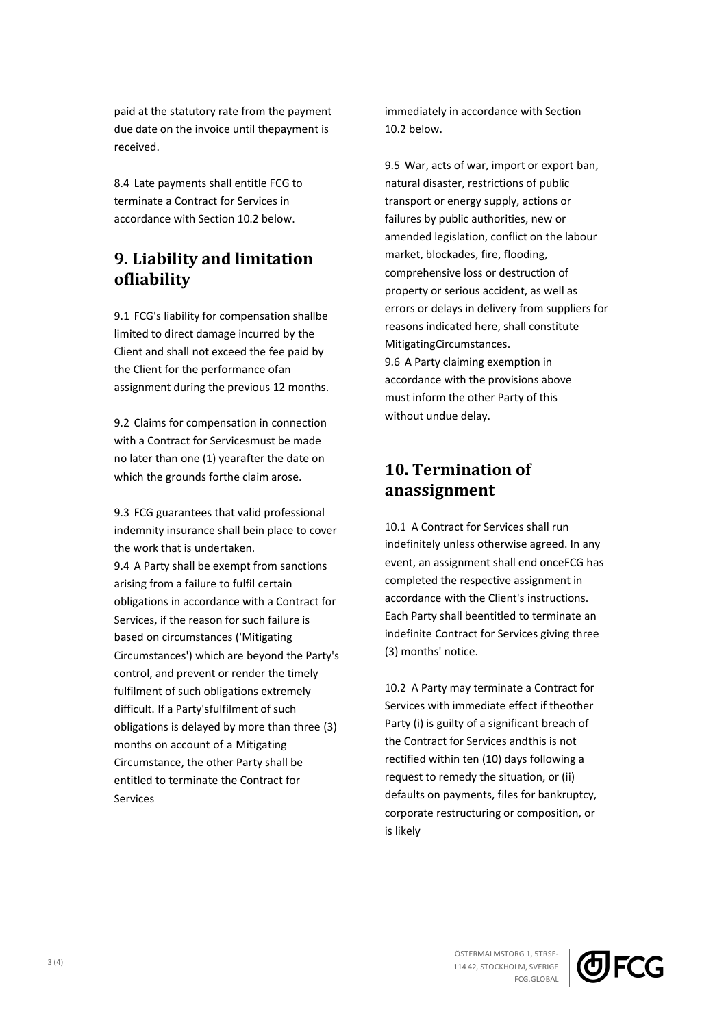paid at the statutory rate from the payment due date on the invoice until thepayment is received.

8.4 Late payments shall entitle FCG to terminate a Contract for Services in accordance with Section 10.2 below.

#### **9. Liability and limitation ofliability**

9.1 FCG's liability for compensation shallbe limited to direct damage incurred by the Client and shall not exceed the fee paid by the Client for the performance ofan assignment during the previous 12 months.

9.2 Claims for compensation in connection with a Contract for Servicesmust be made no later than one (1) yearafter the date on which the grounds forthe claim arose.

9.3 FCG guarantees that valid professional indemnity insurance shall bein place to cover the work that is undertaken. 9.4 A Party shall be exempt from sanctions arising from a failure to fulfil certain obligations in accordance with a Contract for Services, if the reason for such failure is based on circumstances ('Mitigating Circumstances') which are beyond the Party's control, and prevent or render the timely fulfilment of such obligations extremely difficult. If a Party'sfulfilment of such obligations is delayed by more than three (3) months on account of a Mitigating Circumstance, the other Party shall be entitled to terminate the Contract for Services

immediately in accordance with Section 10.2 below.

9.5 War, acts of war, import or export ban, natural disaster, restrictions of public transport or energy supply, actions or failures by public authorities, new or amended legislation, conflict on the labour market, blockades, fire, flooding, comprehensive loss or destruction of property or serious accident, as well as errors or delays in delivery from suppliers for reasons indicated here, shall constitute MitigatingCircumstances. 9.6 A Party claiming exemption in accordance with the provisions above must inform the other Party of this without undue delay.

#### **10. Termination of anassignment**

10.1 A Contract for Services shall run indefinitely unless otherwise agreed. In any event, an assignment shall end onceFCG has completed the respective assignment in accordance with the Client's instructions. Each Party shall beentitled to terminate an indefinite Contract for Services giving three (3) months' notice.

10.2 A Party may terminate a Contract for Services with immediate effect if theother Party (i) is guilty of a significant breach of the Contract for Services andthis is not rectified within ten (10) days following a request to remedy the situation, or (ii) defaults on payments, files for bankruptcy, corporate restructuring or composition, or is likely